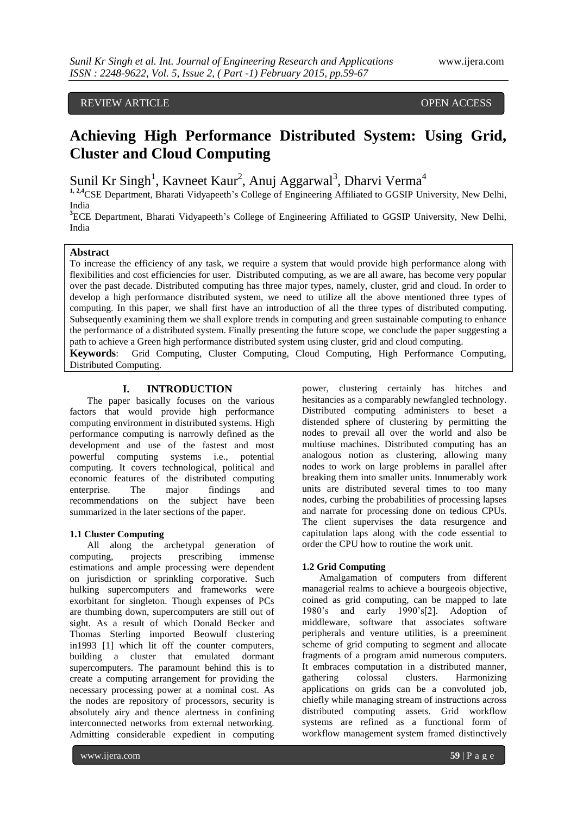# REVIEW ARTICLE **External open access** open access of the set of the set of the set of the set of the set of the set of the set of the set of the set of the set of the set of the set of the set of the set of the set of the

# **Achieving High Performance Distributed System: Using Grid, Cluster and Cloud Computing**

Sunil Kr Singh<sup>1</sup>, Kavneet Kaur<sup>2</sup>, Anuj Aggarwal<sup>3</sup>, Dharvi Verma<sup>4</sup>

<sup>1, 2,4</sup>CSE Department, Bharati Vidyapeeth's College of Engineering Affiliated to GGSIP University, New Delhi, India

<sup>3</sup>ECE Department, Bharati Vidyapeeth's College of Engineering Affiliated to GGSIP University, New Delhi, India

## **Abstract**

To increase the efficiency of any task, we require a system that would provide high performance along with flexibilities and cost efficiencies for user. Distributed computing, as we are all aware, has become very popular over the past decade. Distributed computing has three major types, namely, cluster, grid and cloud. In order to develop a high performance distributed system, we need to utilize all the above mentioned three types of computing. In this paper, we shall first have an introduction of all the three types of distributed computing. Subsequently examining them we shall explore trends in computing and green sustainable computing to enhance the performance of a distributed system. Finally presenting the future scope, we conclude the paper suggesting a path to achieve a Green high performance distributed system using cluster, grid and cloud computing.

**Keywords**: Grid Computing, Cluster Computing, Cloud Computing, High Performance Computing, Distributed Computing.

## **I. INTRODUCTION**

The paper basically focuses on the various factors that would provide high performance computing environment in distributed systems. High performance computing is narrowly defined as the development and use of the fastest and most powerful computing systems i.e., potential computing. It covers technological, political and economic features of the distributed computing enterprise. The major findings and recommendations on the subject have been summarized in the later sections of the paper.

### **1.1 Cluster Computing**

All along the archetypal generation of computing, projects prescribing immense estimations and ample processing were dependent on jurisdiction or sprinkling corporative. Such hulking supercomputers and frameworks were exorbitant for singleton. Though expenses of PCs are thumbing down, supercomputers are still out of sight. As a result of which Donald Becker and Thomas Sterling imported Beowulf clustering in1993 [1] which lit off the counter computers, building a cluster that emulated dormant supercomputers. The paramount behind this is to create a computing arrangement for providing the necessary processing power at a nominal cost. As the nodes are repository of processors, security is absolutely airy and thence alertness in confining interconnected networks from external networking. Admitting considerable expedient in computing

power, clustering certainly has hitches and hesitancies as a comparably newfangled technology. Distributed computing administers to beset a distended sphere of clustering by permitting the nodes to prevail all over the world and also be multiuse machines. Distributed computing has an analogous notion as clustering, allowing many nodes to work on large problems in parallel after breaking them into smaller units. Innumerably work units are distributed several times to too many nodes, curbing the probabilities of processing lapses and narrate for processing done on tedious CPUs. The client supervises the data resurgence and capitulation laps along with the code essential to order the CPU how to routine the work unit.

#### **1.2 Grid Computing**

Amalgamation of computers from different managerial realms to achieve a bourgeois objective, coined as grid computing, can be mapped to late 1980"s and early 1990"s[2]. Adoption of middleware, software that associates software peripherals and venture utilities, is a preeminent scheme of grid computing to segment and allocate fragments of a program amid numerous computers. It embraces computation in a distributed manner, gathering colossal clusters. Harmonizing applications on grids can be a convoluted job, chiefly while managing stream of instructions across distributed computing assets. Grid workflow systems are refined as a functional form of workflow management system framed distinctively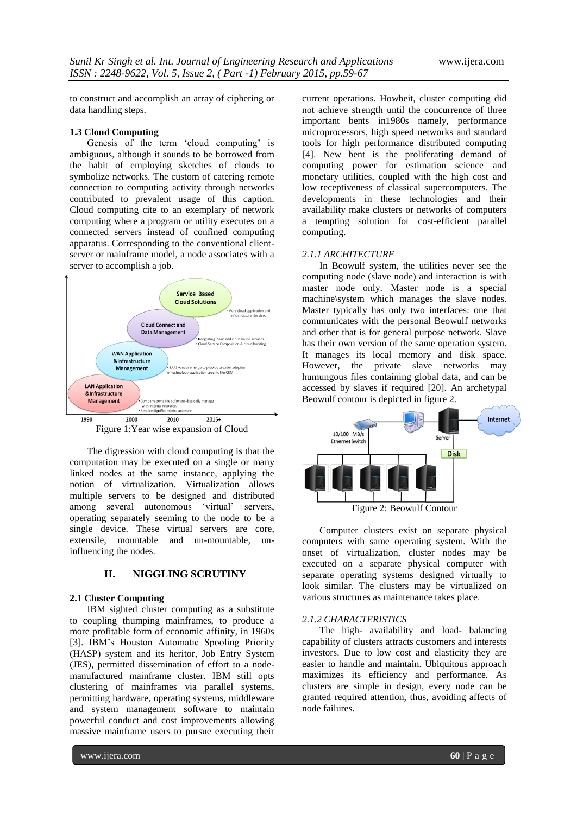to construct and accomplish an array of ciphering or data handling steps.

## **1.3 Cloud Computing**

Genesis of the term 'cloud computing' is ambiguous, although it sounds to be borrowed from the habit of employing sketches of clouds to symbolize networks. The custom of catering remote connection to computing activity through networks contributed to prevalent usage of this caption. Cloud computing cite to an exemplary of network computing where a program or utility executes on a connected servers instead of confined computing apparatus. Corresponding to the conventional clientserver or mainframe model, a node associates with a server to accomplish a job.



Figure 1:Year wise expansion of Cloud

The digression with cloud computing is that the computation may be executed on a single or many linked nodes at the same instance, applying the notion of virtualization. Virtualization allows multiple servers to be designed and distributed among several autonomous 'virtual' servers, operating separately seeming to the node to be a single device. These virtual servers are core, extensile, mountable and un-mountable, uninfluencing the nodes.

## **II. NIGGLING SCRUTINY**

## **2.1 Cluster Computing**

IBM sighted cluster computing as a substitute to coupling thumping mainframes, to produce a more profitable form of economic affinity, in 1960s [3]. IBM"s Houston Automatic Spooling Priority (HASP) system and its heritor, Job Entry System (JES), permitted dissemination of effort to a nodemanufactured mainframe cluster. IBM still opts clustering of mainframes via parallel systems, permitting hardware, operating systems, middleware and system management software to maintain powerful conduct and cost improvements allowing massive mainframe users to pursue executing their current operations. Howbeit, cluster computing did not achieve strength until the concurrence of three important bents in1980s namely, performance microprocessors, high speed networks and standard tools for high performance distributed computing [4]. New bent is the proliferating demand of computing power for estimation science and monetary utilities, coupled with the high cost and low receptiveness of classical supercomputers. The developments in these technologies and their availability make clusters or networks of computers a tempting solution for cost-efficient parallel computing.

#### *2.1.1 ARCHITECTURE*

In Beowulf system, the utilities never see the computing node (slave node) and interaction is with master node only. Master node is a special machine\system which manages the slave nodes. Master typically has only two interfaces: one that communicates with the personal Beowulf networks and other that is for general purpose network. Slave has their own version of the same operation system. It manages its local memory and disk space. However, the private slave networks may humungous files containing global data, and can be accessed by slaves if required [20]. An archetypal Beowulf contour is depicted in figure 2.



Figure 2: Beowulf Contour

Computer clusters exist on separate physical computers with same operating system. With the onset of virtualization, cluster nodes may be executed on a separate physical computer with separate operating systems designed virtually to look similar. The clusters may be virtualized on various structures as maintenance takes place.

#### *2.1.2 CHARACTERISTICS*

The high- availability and load- balancing capability of clusters attracts customers and interests investors. Due to low cost and elasticity they are easier to handle and maintain. Ubiquitous approach maximizes its efficiency and performance. As clusters are simple in design, every node can be granted required attention, thus, avoiding affects of node failures.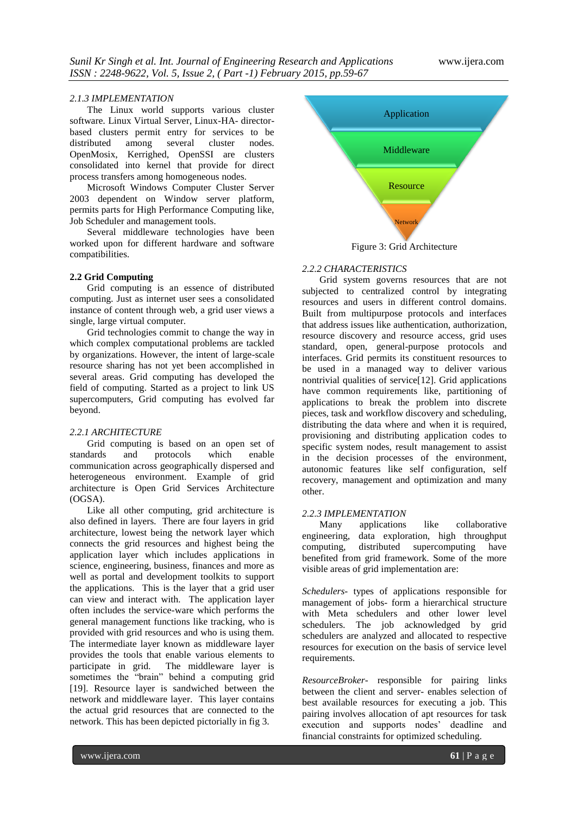#### *2.1.3 IMPLEMENTATION*

The Linux world supports various cluster software. Linux Virtual Server, Linux-HA- directorbased clusters permit entry for services to be distributed among several cluster nodes. OpenMosix, Kerrighed, OpenSSI are clusters consolidated into kernel that provide for direct process transfers among homogeneous nodes.

Microsoft Windows Computer Cluster Server 2003 dependent on Window server platform, permits parts for High Performance Computing like, Job Scheduler and management tools.

Several middleware technologies have been worked upon for different hardware and software compatibilities.

#### **2.2 Grid Computing**

Grid computing is an essence of distributed computing. Just as internet user sees a consolidated instance of content through web, a grid user views a single, large virtual computer.

Grid technologies commit to change the way in which complex computational problems are tackled by organizations. However, the intent of large-scale resource sharing has not yet been accomplished in several areas. Grid computing has developed the field of computing. Started as a project to link US supercomputers, Grid computing has evolved far beyond.

## *2.2.1 ARCHITECTURE*

Grid computing is based on an open set of standards and protocols which enable communication across geographically dispersed and heterogeneous environment. Example of grid architecture is Open Grid Services Architecture (OGSA).

Like all other computing, grid architecture is also defined in layers. There are four layers in grid architecture, lowest being the network layer which connects the grid resources and highest being the application layer which includes applications in science, engineering, business, finances and more as well as portal and development toolkits to support the applications. This is the layer that a grid user can view and interact with. The application layer often includes the service-ware which performs the general management functions like tracking, who is provided with grid resources and who is using them. The intermediate layer known as middleware layer provides the tools that enable various elements to participate in grid. The middleware layer is sometimes the "brain" behind a computing grid [19]. Resource layer is sandwiched between the network and middleware layer. This layer contains the actual grid resources that are connected to the network. This has been depicted pictorially in fig 3.



Figure 3: Grid Architecture

## *2.2.2 CHARACTERISTICS*

Grid system governs resources that are not subjected to centralized control by integrating resources and users in different control domains. Built from multipurpose protocols and interfaces that address issues like authentication, authorization, resource discovery and resource access, grid uses standard, open, general-purpose protocols and interfaces. Grid permits its constituent resources to be used in a managed way to deliver various nontrivial qualities of service[12]. Grid applications have common requirements like, partitioning of applications to break the problem into discrete pieces, task and workflow discovery and scheduling, distributing the data where and when it is required, provisioning and distributing application codes to specific system nodes, result management to assist in the decision processes of the environment, autonomic features like self configuration, self recovery, management and optimization and many other.

## *2.2.3 IMPLEMENTATION*

Many applications like collaborative engineering, data exploration, high throughput computing, distributed supercomputing have benefited from grid framework. Some of the more visible areas of grid implementation are:

*Schedulers*- types of applications responsible for management of jobs- form a hierarchical structure with Meta schedulers and other lower level schedulers. The job acknowledged by grid schedulers are analyzed and allocated to respective resources for execution on the basis of service level requirements.

*ResourceBroker*- responsible for pairing links between the client and server- enables selection of best available resources for executing a job. This pairing involves allocation of apt resources for task execution and supports nodes' deadline and financial constraints for optimized scheduling.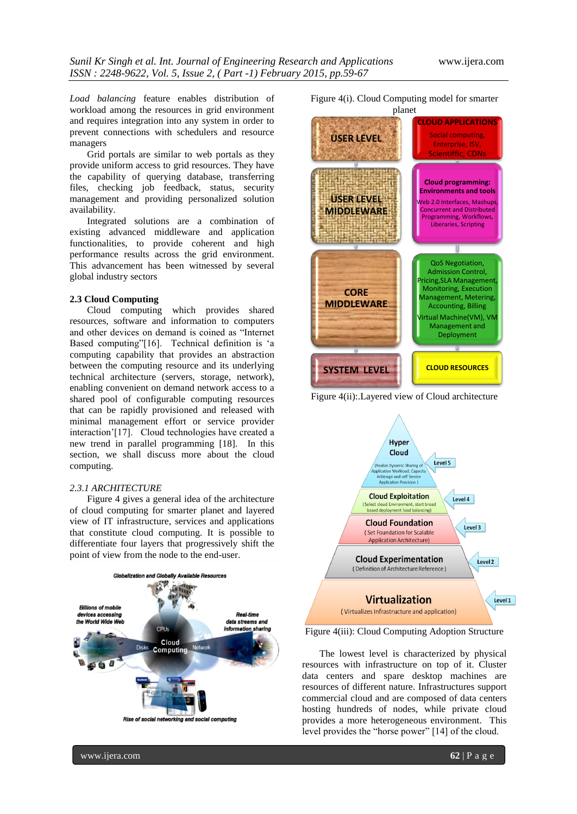*Load balancing* feature enables distribution of workload among the resources in grid environment and requires integration into any system in order to prevent connections with schedulers and resource managers

Grid portals are similar to web portals as they provide uniform access to grid resources. They have the capability of querying database, transferring files, checking job feedback, status, security management and providing personalized solution availability.

Integrated solutions are a combination of existing advanced middleware and application functionalities, to provide coherent and high performance results across the grid environment. This advancement has been witnessed by several global industry sectors

#### **2.3 Cloud Computing**

Cloud computing which provides shared resources, software and information to computers and other devices on demand is coined as "Internet Based computing"[16]. Technical definition is "a computing capability that provides an abstraction between the computing resource and its underlying technical architecture (servers, storage, network), enabling convenient on demand network access to a shared pool of configurable computing resources that can be rapidly provisioned and released with minimal management effort or service provider interaction"[17]. Cloud technologies have created a new trend in parallel programming [18]. In this section, we shall discuss more about the cloud computing.

#### *2.3.1 ARCHITECTURE*

Figure 4 gives a general idea of the architecture of cloud computing for smarter planet and layered view of IT infrastructure, services and applications that constitute cloud computing. It is possible to differentiate four layers that progressively shift the point of view from the node to the end-user.







Figure 4(ii):.Layered view of Cloud architecture



Figure 4(iii): Cloud Computing Adoption Structure

The lowest level is characterized by physical resources with infrastructure on top of it. Cluster data centers and spare desktop machines are resources of different nature. Infrastructures support commercial cloud and are composed of data centers hosting hundreds of nodes, while private cloud provides a more heterogeneous environment. This level provides the "horse power" [14] of the cloud.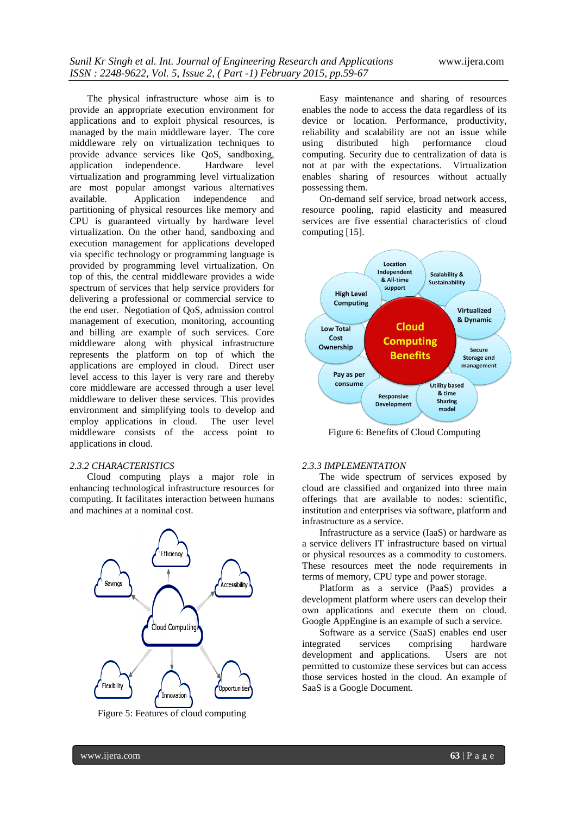The physical infrastructure whose aim is to provide an appropriate execution environment for applications and to exploit physical resources, is managed by the main middleware layer. The core middleware rely on virtualization techniques to provide advance services like QoS, sandboxing, application independence. Hardware level virtualization and programming level virtualization are most popular amongst various alternatives available. Application independence and partitioning of physical resources like memory and CPU is guaranteed virtually by hardware level virtualization. On the other hand, sandboxing and execution management for applications developed via specific technology or programming language is provided by programming level virtualization. On top of this, the central middleware provides a wide spectrum of services that help service providers for delivering a professional or commercial service to the end user. Negotiation of QoS, admission control management of execution, monitoring, accounting and billing are example of such services. Core middleware along with physical infrastructure represents the platform on top of which the applications are employed in cloud. Direct user level access to this layer is very rare and thereby core middleware are accessed through a user level middleware to deliver these services. This provides environment and simplifying tools to develop and employ applications in cloud. The user level middleware consists of the access point to applications in cloud.

#### *2.3.2 CHARACTERISTICS*

Cloud computing plays a major role in enhancing technological infrastructure resources for computing. It facilitates interaction between humans and machines at a nominal cost.



Figure 5: Features of cloud computing

Easy maintenance and sharing of resources enables the node to access the data regardless of its device or location. Performance, productivity, reliability and scalability are not an issue while using distributed high performance cloud computing. Security due to centralization of data is not at par with the expectations. Virtualization enables sharing of resources without actually possessing them.

On-demand self service, broad network access, resource pooling, rapid elasticity and measured services are five essential characteristics of cloud computing [15].



Figure 6: Benefits of Cloud Computing

#### *2.3.3 IMPLEMENTATION*

The wide spectrum of services exposed by cloud are classified and organized into three main offerings that are available to nodes: scientific, institution and enterprises via software, platform and infrastructure as a service.

Infrastructure as a service (IaaS) or hardware as a service delivers IT infrastructure based on virtual or physical resources as a commodity to customers. These resources meet the node requirements in terms of memory, CPU type and power storage.

Platform as a service (PaaS) provides a development platform where users can develop their own applications and execute them on cloud. Google AppEngine is an example of such a service.

Software as a service (SaaS) enables end user integrated services comprising hardware development and applications. Users are not permitted to customize these services but can access those services hosted in the cloud. An example of SaaS is a Google Document.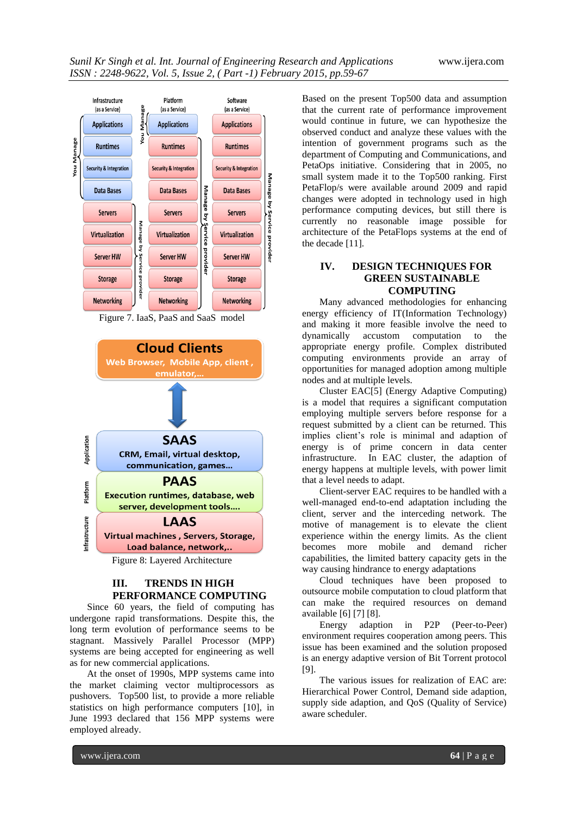

Figure 7. IaaS, PaaS and SaaS model



Figure 8: Layered Architecture

## **III. TRENDS IN HIGH PERFORMANCE COMPUTING**

Since 60 years, the field of computing has undergone rapid transformations. Despite this, the long term evolution of performance seems to be stagnant. Massively Parallel Processor (MPP) systems are being accepted for engineering as well as for new commercial applications.

At the onset of 1990s, MPP systems came into the market claiming vector multiprocessors as pushovers. Top500 list, to provide a more reliable statistics on high performance computers [10], in June 1993 declared that 156 MPP systems were employed already.

Based on the present Top500 data and assumption that the current rate of performance improvement would continue in future, we can hypothesize the observed conduct and analyze these values with the intention of government programs such as the department of Computing and Communications, and PetaOps initiative. Considering that in 2005, no small system made it to the Top500 ranking. First PetaFlop/s were available around 2009 and rapid changes were adopted in technology used in high performance computing devices, but still there is currently no reasonable image possible for architecture of the PetaFlops systems at the end of the decade [11].

## **IV. DESIGN TECHNIQUES FOR GREEN SUSTAINABLE COMPUTING**

Many advanced methodologies for enhancing energy efficiency of IT(Information Technology) and making it more feasible involve the need to dynamically accustom computation to the appropriate energy profile. Complex distributed computing environments provide an array of opportunities for managed adoption among multiple nodes and at multiple levels.

Cluster EAC[5] (Energy Adaptive Computing) is a model that requires a significant computation employing multiple servers before response for a request submitted by a client can be returned. This implies client"s role is minimal and adaption of energy is of prime concern in data center infrastructure. In EAC cluster, the adaption of energy happens at multiple levels, with power limit that a level needs to adapt.

Client-server EAC requires to be handled with a well-managed end-to-end adaptation including the client, server and the interceding network. The motive of management is to elevate the client experience within the energy limits. As the client becomes more mobile and demand richer capabilities, the limited battery capacity gets in the way causing hindrance to energy adaptations

Cloud techniques have been proposed to outsource mobile computation to cloud platform that can make the required resources on demand available [6] [7] [8].

Energy adaption in P2P (Peer-to-Peer) environment requires cooperation among peers. This issue has been examined and the solution proposed is an energy adaptive version of Bit Torrent protocol [9].

The various issues for realization of EAC are: Hierarchical Power Control, Demand side adaption, supply side adaption, and QoS (Quality of Service) aware scheduler.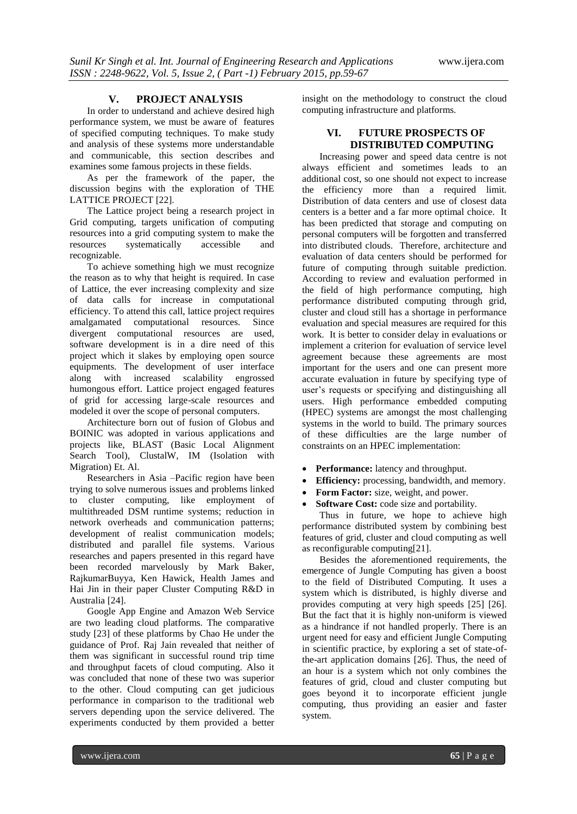#### **V. PROJECT ANALYSIS**

In order to understand and achieve desired high performance system, we must be aware of features of specified computing techniques. To make study and analysis of these systems more understandable and communicable, this section describes and examines some famous projects in these fields.

As per the framework of the paper, the discussion begins with the exploration of THE LATTICE PROJECT [22].

The Lattice project being a research project in Grid computing, targets unification of computing resources into a grid computing system to make the resources systematically accessible and recognizable.

To achieve something high we must recognize the reason as to why that height is required. In case of Lattice, the ever increasing complexity and size of data calls for increase in computational efficiency. To attend this call, lattice project requires amalgamated computational resources. Since divergent computational resources are used, software development is in a dire need of this project which it slakes by employing open source equipments. The development of user interface along with increased scalability engrossed humongous effort. Lattice project engaged features of grid for accessing large-scale resources and modeled it over the scope of personal computers.

Architecture born out of fusion of Globus and BOINIC was adopted in various applications and projects like, BLAST (Basic Local Alignment Search Tool), ClustalW, IM (Isolation with Migration) Et. Al.

Researchers in Asia –Pacific region have been trying to solve numerous issues and problems linked to cluster computing, like employment of multithreaded DSM runtime systems; reduction in network overheads and communication patterns; development of realist communication models; distributed and parallel file systems. Various researches and papers presented in this regard have been recorded marvelously by Mark Baker, RajkumarBuyya, Ken Hawick, Health James and Hai Jin in their paper Cluster Computing R&D in Australia [24].

Google App Engine and Amazon Web Service are two leading cloud platforms. The comparative study [23] of these platforms by Chao He under the guidance of Prof. Raj Jain revealed that neither of them was significant in successful round trip time and throughput facets of cloud computing. Also it was concluded that none of these two was superior to the other. Cloud computing can get judicious performance in comparison to the traditional web servers depending upon the service delivered. The experiments conducted by them provided a better insight on the methodology to construct the cloud computing infrastructure and platforms.

## **VI. FUTURE PROSPECTS OF DISTRIBUTED COMPUTING**

Increasing power and speed data centre is not always efficient and sometimes leads to an additional cost, so one should not expect to increase the efficiency more than a required limit. Distribution of data centers and use of closest data centers is a better and a far more optimal choice. It has been predicted that storage and computing on personal computers will be forgotten and transferred into distributed clouds. Therefore, architecture and evaluation of data centers should be performed for future of computing through suitable prediction. According to review and evaluation performed in the field of high performance computing, high performance distributed computing through grid, cluster and cloud still has a shortage in performance evaluation and special measures are required for this work. It is better to consider delay in evaluations or implement a criterion for evaluation of service level agreement because these agreements are most important for the users and one can present more accurate evaluation in future by specifying type of user"s requests or specifying and distinguishing all users. High performance embedded computing (HPEC) systems are amongst the most challenging systems in the world to build. The primary sources of these difficulties are the large number of constraints on an HPEC implementation:

- **Performance:** latency and throughput.
- **Efficiency:** processing, bandwidth, and memory.
- **Form Factor:** size, weight, and power.
- **Software Cost:** code size and portability.

Thus in future, we hope to achieve high performance distributed system by combining best features of grid, cluster and cloud computing as well as reconfigurable computing[21].

Besides the aforementioned requirements, the emergence of Jungle Computing has given a boost to the field of Distributed Computing. It uses a system which is distributed, is highly diverse and provides computing at very high speeds [25] [26]. But the fact that it is highly non-uniform is viewed as a hindrance if not handled properly. There is an urgent need for easy and efficient Jungle Computing in scientific practice, by exploring a set of state-ofthe-art application domains [26]. Thus, the need of an hour is a system which not only combines the features of grid, cloud and cluster computing but goes beyond it to incorporate efficient jungle computing, thus providing an easier and faster system.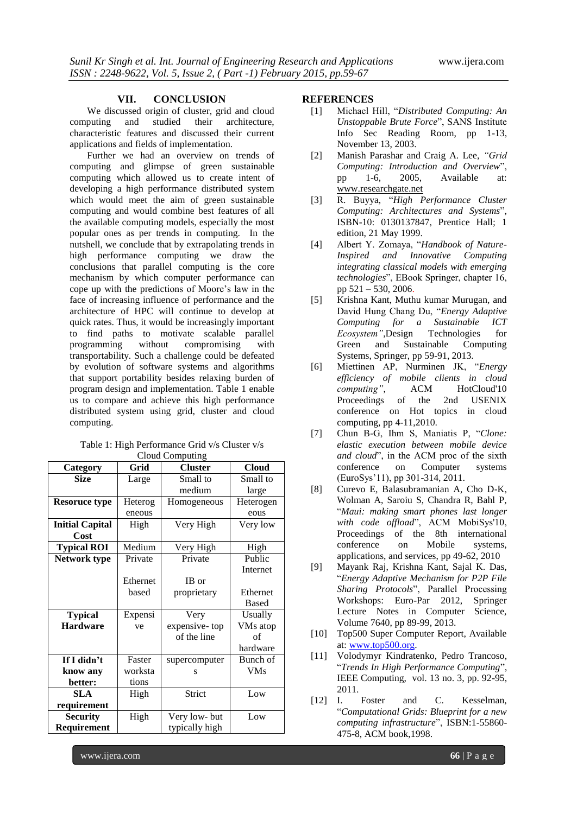### **VII. CONCLUSION**

We discussed origin of cluster, grid and cloud computing and studied their architecture, characteristic features and discussed their current applications and fields of implementation.

Further we had an overview on trends of computing and glimpse of green sustainable computing which allowed us to create intent of developing a high performance distributed system which would meet the aim of green sustainable computing and would combine best features of all the available computing models, especially the most popular ones as per trends in computing. In the nutshell, we conclude that by extrapolating trends in high performance computing we draw the conclusions that parallel computing is the core mechanism by which computer performance can cope up with the predictions of Moore"s law in the face of increasing influence of performance and the architecture of HPC will continue to develop at quick rates. Thus, it would be increasingly important to find paths to motivate scalable parallel programming without compromising with transportability. Such a challenge could be defeated by evolution of software systems and algorithms that support portability besides relaxing burden of program design and implementation. Table 1 enable us to compare and achieve this high performance distributed system using grid, cluster and cloud computing.

| Table 1: High Performance Grid v/s Cluster v/s |  |  |  |  |  |
|------------------------------------------------|--|--|--|--|--|
| Cloud Computing                                |  |  |  |  |  |
|                                                |  |  |  |  |  |

| Category               | Grid     | <b>Cluster</b> | <b>Cloud</b> |
|------------------------|----------|----------------|--------------|
| <b>Size</b>            | Large    | Small to       | Small to     |
|                        |          | medium         | large        |
| <b>Resoruce type</b>   | Heterog  | Homogeneous    | Heterogen    |
|                        | eneous   |                | eous         |
| <b>Initial Capital</b> | High     | Very High      | Very low     |
| Cost                   |          |                |              |
| <b>Typical ROI</b>     | Medium   | Very High      | High         |
| Network type           | Private  | Private        | Public       |
|                        |          |                | Internet     |
|                        | Ethernet | IB or          |              |
|                        | based    | proprietary    | Ethernet     |
|                        |          |                | Based        |
| <b>Typical</b>         | Expensi  | Very           | Usually      |
| <b>Hardware</b>        | ve       | expensive-top  | VMs atop     |
|                        |          | of the line    | of           |
|                        |          |                | hardware     |
| If I didn't            | Faster   | supercomputer  | Bunch of     |
| know any               | worksta  | S              | <b>VMs</b>   |
| better:                | tions    |                |              |
| <b>SLA</b>             | High     | Strict         | Low          |
| requirement            |          |                |              |
| <b>Security</b>        | High     | Very low-but   | Low          |
| Requirement            |          | typically high |              |

#### **REFERENCES**

- [1] Michael Hill, "*Distributed Computing: An Unstoppable Brute Force*", SANS Institute Info Sec Reading Room, pp 1-13, November 13, 2003.
- [2] Manish Parashar and Craig A. Lee, *"Grid Computing: Introduction and Overview*", pp 1-6, 2005, Available at: [www.researchgate.net](http://www.researchgate.net/)
- [3] R. Buyya, "*High Performance Cluster Computing: Architectures and Systems*", ISBN-10: 0130137847, Prentice Hall; 1 edition, 21 May 1999.
- [4] Albert Y. Zomaya, "*Handbook of Nature-Inspired and Innovative Computing integrating classical models with emerging technologies*", EBook Springer, chapter 16, pp 521 – 530, 2006.
- [5] Krishna Kant, Muthu kumar Murugan, and David Hung Chang Du, "*Energy Adaptive Computing for a Sustainable ICT Ecosystem"*,Design Technologies for Green and Sustainable Computing Systems, Springer, pp 59-91, 2013.
- [6] Miettinen AP, Nurminen JK, "*Energy efficiency of mobile clients in cloud computing"*, ACM HotCloud'10<br>Proceedings of the 2nd USENIX Proceedings of the conference on Hot topics in cloud computing, pp 4-11,2010.
- [7] Chun B-G, Ihm S, Maniatis P, "*Clone: elastic execution between mobile device and cloud*", in the ACM proc of the sixth conference on Computer systems (EuroSys"11), pp 301-314, 2011.
- [8] Curevo E, Balasubramanian A, Cho D-K, Wolman A, Saroiu S, Chandra R, Bahl P, "*Maui: making smart phones last longer with code offload*", ACM MobiSys'10, Proceedings of the 8th international conference on Mobile systems, applications, and services, pp 49-62, 2010
- [9] Mayank Raj, Krishna Kant, Sajal K. Das, "*Energy Adaptive Mechanism for P2P File Sharing Protocols*", Parallel Processing Workshops: Euro-Par 2012, Springer Lecture Notes in Computer Science, Volume 7640, pp 89-99, 2013.
- [10] Top500 Super Computer Report, Available at: [www.top500.org.](http://www.top500.org/)
- [11] Volodymyr Kindratenko, Pedro Trancoso, "*Trends In High Performance Computing*", IEEE Computing, vol. 13 no. 3, pp. 92-95, 2011.
- [12] I. Foster and C. Kesselman, "*Computational Grids: Blueprint for a new computing infrastructure*", ISBN:1-55860- 475-8, ACM book,1998.

www.ijera.com **66** | P a g e